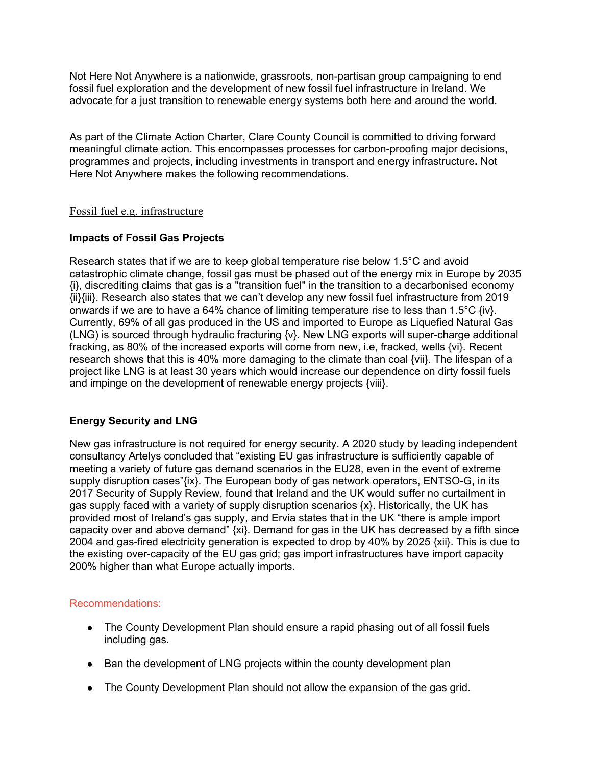Not Here Not Anywhere is a nationwide, grassroots, non-partisan group campaigning to end fossil fuel exploration and the development of new fossil fuel infrastructure in Ireland. We advocate for a just transition to renewable energy systems both here and around the world.

As part of the Climate Action Charter, Clare County Council is committed to driving forward meaningful climate action. This encompasses processes for carbon-proofing major decisions, programmes and projects, including investments in transport and energy infrastructure**.** Not Here Not Anywhere makes the following recommendations.

## Fossil fuel e.g. infrastructure

## **Impacts of Fossil Gas Projects**

Research states that if we are to keep global temperature rise below 1.5°C and avoid catastrophic climate change, fossil gas must be phased out of the energy mix in Europe by 2035 {i}, discrediting claims that gas is a "transition fuel" in the transition to a decarbonised economy {ii}{iii}. Research also states that we can't develop any new fossil fuel infrastructure from 2019 onwards if we are to have a 64% chance of limiting temperature rise to less than 1.5 $\degree$ C {iv}. Currently, 69% of all gas produced in the US and imported to Europe as Liquefied Natural Gas (LNG) is sourced through hydraulic fracturing {v}. New LNG exports will super-charge additional fracking, as 80% of the increased exports will come from new, i.e, fracked, wells {vi}. Recent research shows that this is 40% more damaging to the climate than coal {vii}. The lifespan of a project like LNG is at least 30 years which would increase our dependence on dirty fossil fuels and impinge on the development of renewable energy projects {viii}.

## **Energy Security and LNG**

New gas infrastructure is not required for energy security. A 2020 study by leading independent consultancy Artelys concluded that "existing EU gas infrastructure is sufficiently capable of meeting a variety of future gas demand scenarios in the EU28, even in the event of extreme supply disruption cases"{ix}. The European body of gas network operators, ENTSO-G, in its 2017 Security of Supply Review, found that Ireland and the UK would suffer no curtailment in gas supply faced with a variety of supply disruption scenarios {x}. Historically, the UK has provided most of Ireland's gas supply, and Ervia states that in the UK "there is ample import capacity over and above demand" {xi}. Demand for gas in the UK has decreased by a fifth since 2004 and gas-fired electricity generation is expected to drop by 40% by 2025 {xii}. This is due to the existing over-capacity of the EU gas grid; gas import infrastructures have import capacity 200% higher than what Europe actually imports.

#### Recommendations:

- The County Development Plan should ensure a rapid phasing out of all fossil fuels including gas.
- Ban the development of LNG projects within the county development plan
- The County Development Plan should not allow the expansion of the gas grid.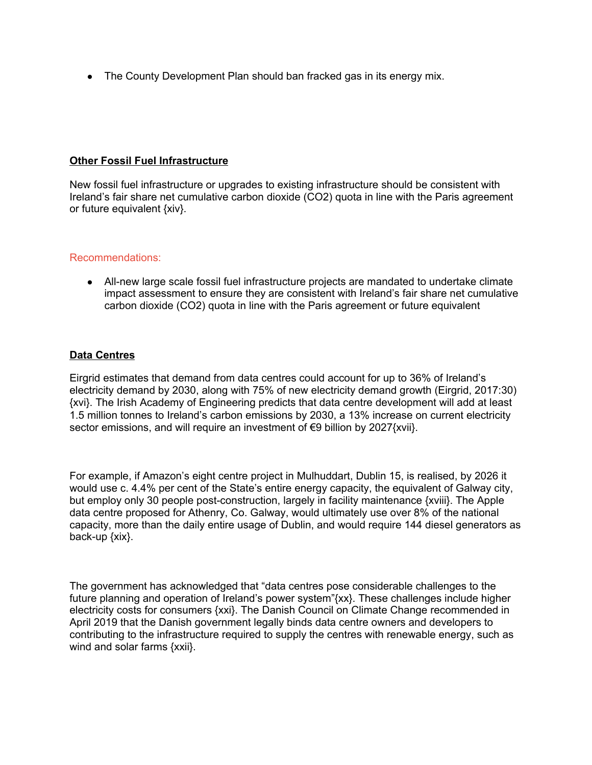• The County Development Plan should ban fracked gas in its energy mix.

### **Other Fossil Fuel Infrastructure**

New fossil fuel infrastructure or upgrades to existing infrastructure should be consistent with Ireland's fair share net cumulative carbon dioxide (CO2) quota in line with the Paris agreement or future equivalent {xiv}.

#### Recommendations:

● All-new large scale fossil fuel infrastructure projects are mandated to undertake climate impact assessment to ensure they are consistent with Ireland's fair share net cumulative carbon dioxide (CO2) quota in line with the Paris agreement or future equivalent

## **Data Centres**

Eirgrid estimates that demand from data centres could account for up to 36% of Ireland's electricity demand by 2030, along with 75% of new electricity demand growth (Eirgrid, 2017:30) {xvi}. The Irish Academy of Engineering predicts that data centre development will add at least 1.5 million tonnes to Ireland's carbon emissions by 2030, a 13% increase on current electricity sector emissions, and will require an investment of €9 billion by 2027{xvii}.

For example, if Amazon's eight centre project in Mulhuddart, Dublin 15, is realised, by 2026 it would use c. 4.4% per cent of the State's entire energy capacity, the equivalent of Galway city, but employ only 30 people post-construction, largely in facility maintenance {xviii}. The Apple data centre proposed for Athenry, Co. Galway, would ultimately use over 8% of the national capacity, more than the daily entire usage of Dublin, and would require 144 diesel generators as back-up {xix}.

The government has acknowledged that "data centres pose considerable challenges to the future planning and operation of Ireland's power system"{xx}. These challenges include higher electricity costs for consumers {xxi}. The Danish Council on Climate Change recommended in April 2019 that the Danish government legally binds data centre owners and developers to contributing to the infrastructure required to supply the centres with renewable energy, such as wind and solar farms {xxii}.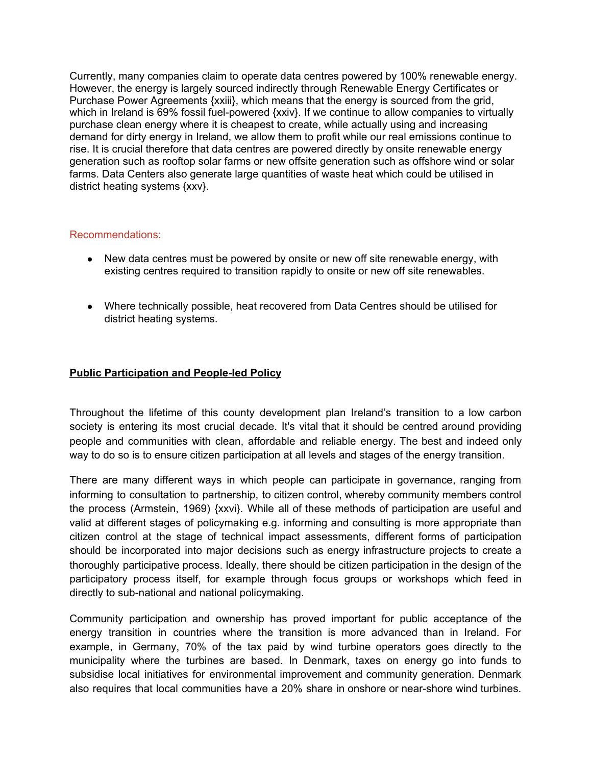Currently, many companies claim to operate data centres powered by 100% renewable energy. However, the energy is largely sourced indirectly through Renewable Energy Certificates or Purchase Power Agreements {xxiii}, which means that the energy is sourced from the grid, which in Ireland is 69% fossil fuel-powered {xxiv}. If we continue to allow companies to virtually purchase clean energy where it is cheapest to create, while actually using and increasing demand for dirty energy in Ireland, we allow them to profit while our real emissions continue to rise. It is crucial therefore that data centres are powered directly by onsite renewable energy generation such as rooftop solar farms or new offsite generation such as offshore wind or solar farms. Data Centers also generate large quantities of waste heat which could be utilised in district heating systems {xxv}.

## Recommendations:

- New data centres must be powered by onsite or new off site renewable energy, with existing centres required to transition rapidly to onsite or new off site renewables.
- Where technically possible, heat recovered from Data Centres should be utilised for district heating systems.

# **Public Participation and People-led Policy**

Throughout the lifetime of this county development plan Ireland's transition to a low carbon society is entering its most crucial decade. It's vital that it should be centred around providing people and communities with clean, affordable and reliable energy. The best and indeed only way to do so is to ensure citizen participation at all levels and stages of the energy transition.

There are many different ways in which people can participate in governance, ranging from informing to consultation to partnership, to citizen control, whereby community members control the process (Armstein, 1969) {xxvi}. While all of these methods of participation are useful and valid at different stages of policymaking e.g. informing and consulting is more appropriate than citizen control at the stage of technical impact assessments, different forms of participation should be incorporated into major decisions such as energy infrastructure projects to create a thoroughly participative process. Ideally, there should be citizen participation in the design of the participatory process itself, for example through focus groups or workshops which feed in directly to sub-national and national policymaking.

Community participation and ownership has proved important for public acceptance of the energy transition in countries where the transition is more advanced than in Ireland. For example, in Germany, 70% of the tax paid by wind turbine operators goes directly to the municipality where the turbines are based. In Denmark, taxes on energy go into funds to subsidise local initiatives for environmental improvement and community generation. Denmark also requires that local communities have a 20% share in onshore or near-shore wind turbines.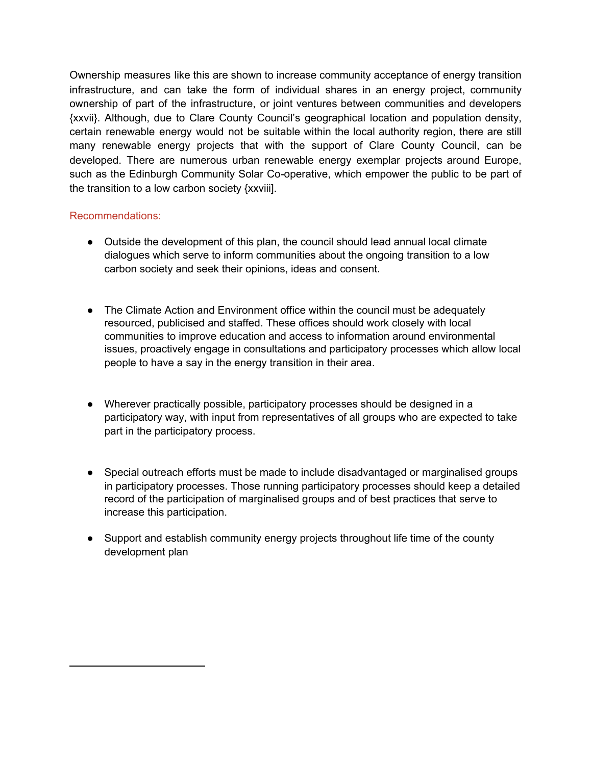Ownership measures like this are shown to increase community acceptance of energy transition infrastructure, and can take the form of individual shares in an energy project, community ownership of part of the infrastructure, or joint ventures between communities and developers {xxvii}. Although, due to Clare County Council's geographical location and population density, certain renewable energy would not be suitable within the local authority region, there are still many renewable energy projects that with the support of Clare County Council, can be developed. There are numerous urban renewable energy exemplar projects around Europe, such as the Edinburgh Community Solar Co-operative, which empower the public to be part of the transition to a low carbon society {xxviii].

## Recommendations:

- Outside the development of this plan, the council should lead annual local climate dialogues which serve to inform communities about the ongoing transition to a low carbon society and seek their opinions, ideas and consent.
- The Climate Action and Environment office within the council must be adequately resourced, publicised and staffed. These offices should work closely with local communities to improve education and access to information around environmental issues, proactively engage in consultations and participatory processes which allow local people to have a say in the energy transition in their area.
- Wherever practically possible, participatory processes should be designed in a participatory way, with input from representatives of all groups who are expected to take part in the participatory process.
- Special outreach efforts must be made to include disadvantaged or marginalised groups in participatory processes. Those running participatory processes should keep a detailed record of the participation of marginalised groups and of best practices that serve to increase this participation.
- Support and establish community energy projects throughout life time of the county development plan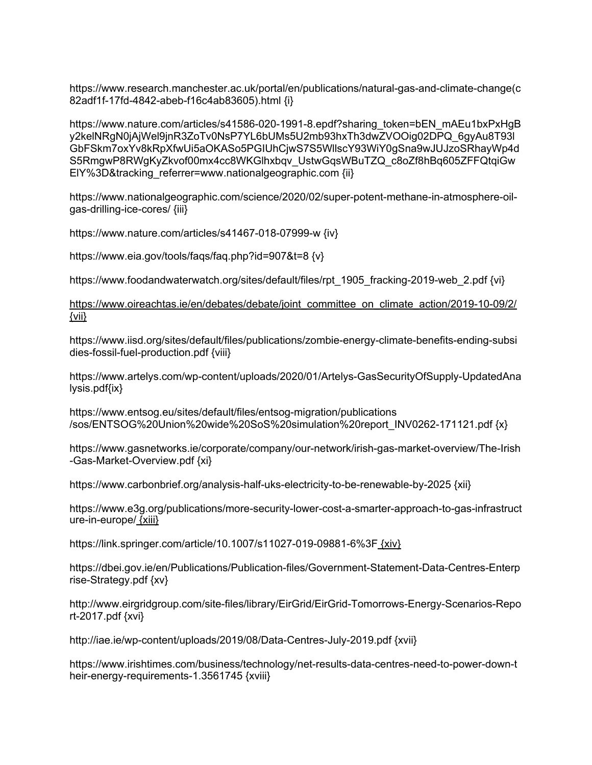https://www.research.manchester.ac.uk/portal/en/publications/natural-gas-and-climate-change(c 82adf1f-17fd-4842-abeb-f16c4ab83605).html {i}

https://www.nature.com/articles/s41586-020-1991-8.epdf?sharing\_token=bEN\_mAEu1bxPxHgB y2kelNRgN0jAjWel9jnR3ZoTv0NsP7YL6bUMs5U2mb93hxTh3dwZVOOig02DPQ\_6gyAu8T93l GbFSkm7oxYv8kRpXfwUi5aOKASo5PGIUhCjwS7S5WllscY93WiY0gSna9wJUJzoSRhayWp4d S5RmgwP8RWgKyZkvof00mx4cc8WKGlhxbqv\_UstwGqsWBuTZQ\_c8oZf8hBq605ZFFQtqiGw EIY%3D&tracking\_referrer=www.nationalgeographic.com {ii}

https://www.nationalgeographic.com/science/2020/02/super-potent-methane-in-atmosphere-oilgas-drilling-ice-cores/ {iii}

https://www.nature.com/articles/s41467-018-07999-w {iv}

https://www.eia.gov/tools/faqs/faq.php?id=907&t=8 {v}

https://www.foodandwaterwatch.org/sites/default/files/rpt\_1905\_fracking-2019-web\_2.pdf {vi}

[https://www.oireachtas.ie/en/debates/debate/joint\\_committee\\_on\\_climate\\_action/2019-10-09/2/](https://www.oireachtas.ie/en/debates/debate/joint_committee_on_climate_action/2019-10-09/2/) [{vii}](https://www.oireachtas.ie/en/debates/debate/joint_committee_on_climate_action/2019-10-09/2/)

https://www.iisd.org/sites/default/files/publications/zombie-energy-climate-benefits-ending-subsi dies-fossil-fuel-production.pdf {viii}

https://www.artelys.com/wp-content/uploads/2020/01/Artelys-GasSecurityOfSupply-UpdatedAna lysis.pdf{ix}

https://www.entsog.eu/sites/default/files/entsog-migration/publications /sos/ENTSOG%20Union%20wide%20SoS%20simulation%20report\_INV0262-171121.pdf {x}

https://www.gasnetworks.ie/corporate/company/our-network/irish-gas-market-overview/The-Irish -Gas-Market-Overview.pdf {xi}

https://www.carbonbrief.org/analysis-half-uks-electricity-to-be-renewable-by-2025 {xii}

https://www.e3g.org/publications/more-security-lower-cost-a-smarter-approach-to-gas-infrastruct ure-in-europe/ [{xiii}](https://www.oireachtas.ie/en/debates/debate/joint_committee_on_climate_action/2019-10-09/2/)

https://link.springer.com/article/10.1007/s11027-019-09881-6%3F [{xiv}](https://www.oireachtas.ie/en/debates/debate/joint_committee_on_climate_action/2019-10-09/2/)

https://dbei.gov.ie/en/Publications/Publication-files/Government-Statement-Data-Centres-Enterp rise-Strategy.pdf {xv}

http://www.eirgridgroup.com/site-files/library/EirGrid/EirGrid-Tomorrows-Energy-Scenarios-Repo rt-2017.pdf {xvi}

http://iae.ie/wp-content/uploads/2019/08/Data-Centres-July-2019.pdf {xvii}

https://www.irishtimes.com/business/technology/net-results-data-centres-need-to-power-down-t heir-energy-requirements-1.3561745 {xviii}